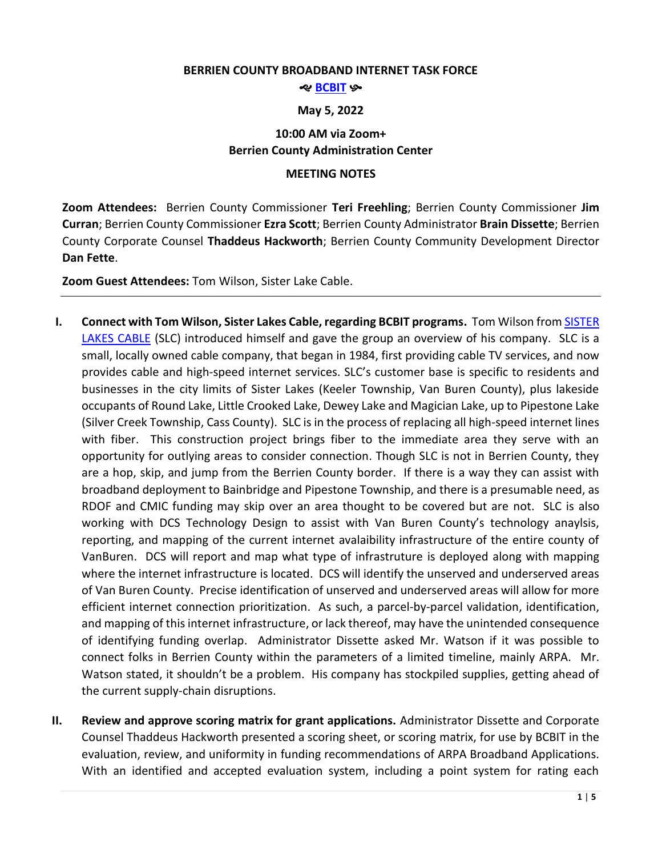#### **BERRIEN COUNTY BROADBAND INTERNET TASK FORCE**

#### శాల <mark>[BCBIT](https://www.berriencounty.org/1764/Berrien-County-Broadband-Internet-Task-F)</mark> కా

### **May 5, 2022**

# **10:00 AM via Zoom+ Berrien County Administration Center**

## **MEETING NOTES**

**Zoom Attendees:** Berrien County Commissioner **Teri Freehling**; Berrien County Commissioner **Jim Curran**; Berrien County Commissioner **Ezra Scott**; Berrien County Administrator **Brain Dissette**; Berrien County Corporate Counsel **Thaddeus Hackworth**; Berrien County Community Development Director **Dan Fette**.

**Zoom Guest Attendees:** Tom Wilson, Sister Lake Cable.

- **I. Connect with Tom Wilson, Sister Lakes Cable, regarding BCBIT programs.** Tom Wilson fro[m SISTER](https://sisterlakescable.net/)  [LAKES CABLE](https://sisterlakescable.net/) (SLC) introduced himself and gave the group an overview of his company. SLC is a small, locally owned cable company, that began in 1984, first providing cable TV services, and now provides cable and high-speed internet services. SLC's customer base is specific to residents and businesses in the city limits of Sister Lakes (Keeler Township, Van Buren County), plus lakeside occupants of Round Lake, Little Crooked Lake, Dewey Lake and Magician Lake, up to Pipestone Lake (Silver Creek Township, Cass County). SLC is in the process of replacing all high-speed internet lines with fiber. This construction project brings fiber to the immediate area they serve with an opportunity for outlying areas to consider connection. Though SLC is not in Berrien County, they are a hop, skip, and jump from the Berrien County border. If there is a way they can assist with broadband deployment to Bainbridge and Pipestone Township, and there is a presumable need, as RDOF and CMIC funding may skip over an area thought to be covered but are not. SLC is also working with DCS Technology Design to assist with Van Buren County's technology anaylsis, reporting, and mapping of the current internet avalaibility infrastructure of the entire county of VanBuren. DCS will report and map what type of infrastruture is deployed along with mapping where the internet infrastructure is located. DCS will identify the unserved and underserved areas of Van Buren County. Precise identification of unserved and underserved areas will allow for more efficient internet connection prioritization. As such, a parcel-by-parcel validation, identification, and mapping of this internet infrastructure, or lack thereof, may have the unintended consequence of identifying funding overlap. Administrator Dissette asked Mr. Watson if it was possible to connect folks in Berrien County within the parameters of a limited timeline, mainly ARPA. Mr. Watson stated, it shouldn't be a problem. His company has stockpiled supplies, getting ahead of the current supply-chain disruptions.
- **II. Review and approve scoring matrix for grant applications.** Administrator Dissette and Corporate Counsel Thaddeus Hackworth presented a scoring sheet, or scoring matrix, for use by BCBIT in the evaluation, review, and uniformity in funding recommendations of ARPA Broadband Applications. With an identified and accepted evaluation system, including a point system for rating each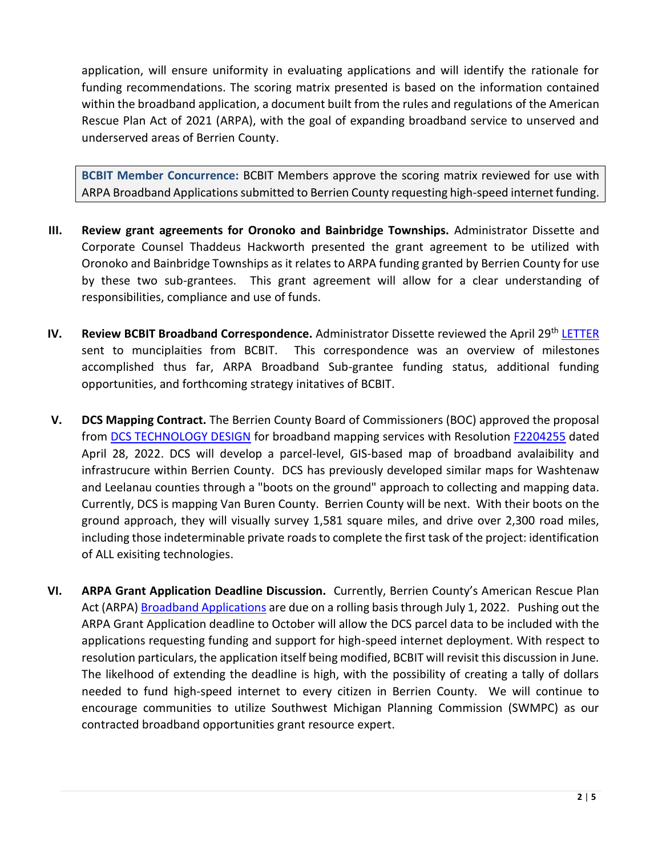application, will ensure uniformity in evaluating applications and will identify the rationale for funding recommendations. The scoring matrix presented is based on the information contained within the broadband application, a document built from the rules and regulations of the American Rescue Plan Act of 2021 (ARPA), with the goal of expanding broadband service to unserved and underserved areas of Berrien County.

**BCBIT Member Concurrence:** BCBIT Members approve the scoring matrix reviewed for use with ARPA Broadband Applications submitted to Berrien County requesting high-speed internet funding.

- **III. Review grant agreements for Oronoko and Bainbridge Townships.** Administrator Dissette and Corporate Counsel Thaddeus Hackworth presented the grant agreement to be utilized with Oronoko and Bainbridge Townships as it relates to ARPA funding granted by Berrien County for use by these two sub-grantees. This grant agreement will allow for a clear understanding of responsibilities, compliance and use of funds.
- **IV. Review BCBIT Broadband Correspondence.** Administrator Dissette reviewed the April 29<sup>th</sup> [LETTER](https://www.berriencounty.org/DocumentCenter/View/15742/BCBIT-Letter-4-28-2022) sent to munciplaities from BCBIT. This correspondence was an overview of milestones accomplished thus far, ARPA Broadband Sub-grantee funding status, additional funding opportunities, and forthcoming strategy initatives of BCBIT.
- **V. DCS Mapping Contract.** The Berrien County Board of Commissioners (BOC) approved the proposal from [DCS TECHNOLOGY DESIGN](https://www.dcstechnology.com/) for broadband mapping services with Resolution [F2204255](https://www.berriencounty.org/AgendaCenter/ViewFile/Agenda/_04282022-4792) dated April 28, 2022. DCS will develop a parcel-level, GIS-based map of broadband avalaibility and infrastrucure within Berrien County. DCS has previously developed similar maps for Washtenaw and Leelanau counties through a "boots on the ground" approach to collecting and mapping data. Currently, DCS is mapping Van Buren County. Berrien County will be next. With their boots on the ground approach, they will visually survey 1,581 square miles, and drive over 2,300 road miles, including those indeterminable private roads to complete the first task of the project: identification of ALL exisiting technologies.
- **VI. ARPA Grant Application Deadline Discussion.** Currently, Berrien County's American Rescue Plan Act (ARPA) [Broadband Applications](http://www.berriencounty.org/DocumentCenter/View/15307/01-27-22-ARPA-Broadband-Application) are due on a rolling basis through July 1, 2022. Pushing out the ARPA Grant Application deadline to October will allow the DCS parcel data to be included with the applications requesting funding and support for high-speed internet deployment. With respect to resolution particulars, the application itself being modified, BCBIT will revisit this discussion in June. The likelhood of extending the deadline is high, with the possibility of creating a tally of dollars needed to fund high-speed internet to every citizen in Berrien County. We will continue to encourage communities to utilize Southwest Michigan Planning Commission (SWMPC) as our contracted broadband opportunities grant resource expert.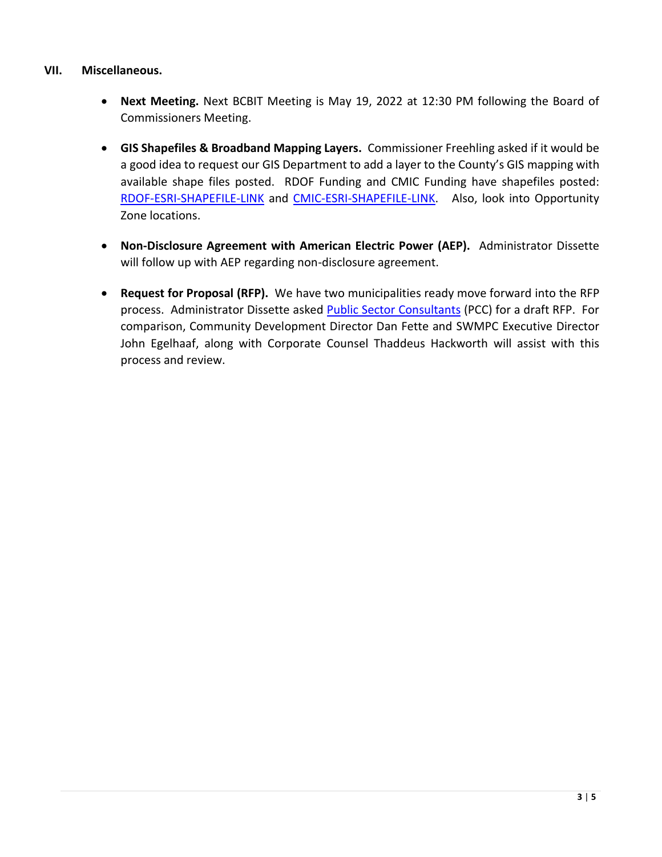## **VII. Miscellaneous.**

- **Next Meeting.** Next BCBIT Meeting is May 19, 2022 at 12:30 PM following the Board of Commissioners Meeting.
- **GIS Shapefiles & Broadband Mapping Layers.** Commissioner Freehling asked if it would be a good idea to request our GIS Department to add a layer to the County's GIS mapping with available shape files posted. RDOF Funding and CMIC Funding have shapefiles posted: [RDOF-ESRI-SHAPEFILE-LINK](https://us-fcc.app.box.com/s/tdljqbrniygloxwdhhprx1cagj77j2mq) and [CMIC-ESRI-SHAPEFILE-LINK.](https://www.michigan.gov/dtmb/-/media/Project/Websites/dtmb/Law-and-Policies/Governance/CMIC/3-0/CMIC_3_0_Shapefile.zip?rev=6166e20e55d541eda10fddb591672fcc&hash=C4BE3C65B643E7932817C7F1DA628D96) Also, look into Opportunity Zone locations.
- **Non-Disclosure Agreement with American Electric Power (AEP).** Administrator Dissette will follow up with AEP regarding non-disclosure agreement.
- **Request for Proposal (RFP).** We have two municipalities ready move forward into the RFP process. Administrator Dissette asked [Public Sector Consultants](https://publicsectorconsultants.com/) (PCC) for a draft RFP. For comparison, Community Development Director Dan Fette and SWMPC Executive Director John Egelhaaf, along with Corporate Counsel Thaddeus Hackworth will assist with this process and review.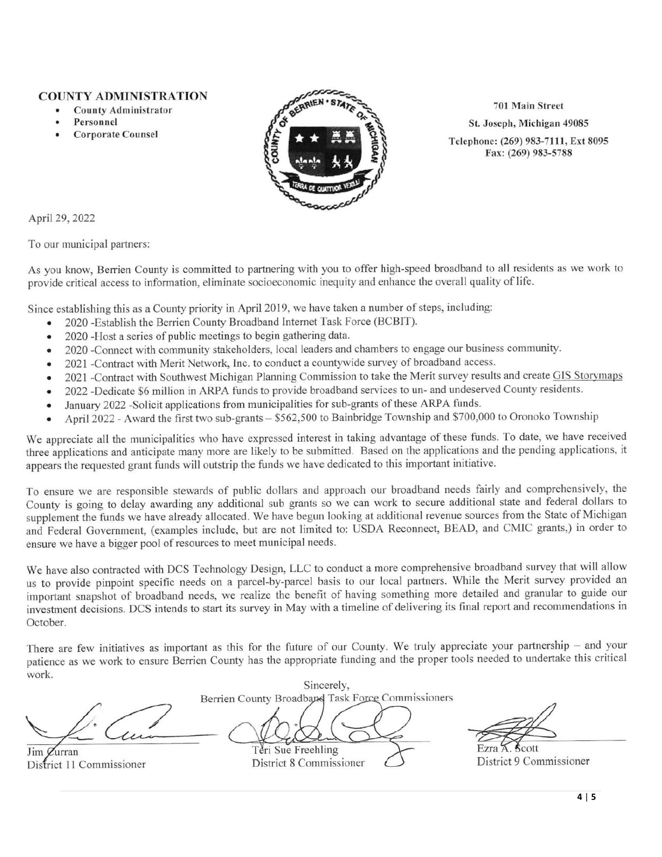### **COUNTY ADMINISTRATION**

- **County Administrator**
- Personnel
- **Corporate Counsel**



701 Main Street St. Joseph, Michigan 49085

Telephone: (269) 983-7111, Ext 8095 Fax: (269) 983-5788

April 29, 2022

To our municipal partners:

As you know, Berrien County is committed to partnering with you to offer high-speed broadband to all residents as we work to provide critical access to information, eliminate socioeconomic inequity and enhance the overall quality of life.

Since establishing this as a County priority in April 2019, we have taken a number of steps, including:

- 2020 Establish the Berrien County Broadband Internet Task Force (BCBIT).
- 2020 -Host a series of public meetings to begin gathering data.  $\bullet$
- 2020 -Connect with community stakeholders, local leaders and chambers to engage our business community.  $\bullet$
- 2021 -Contract with Merit Network, Inc. to conduct a countywide survey of broadband access.  $\bullet$
- 2021 -Contract with Southwest Michigan Planning Commission to take the Merit survey results and create GIS Storymaps  $\bullet$
- 2022 -Dedicate \$6 million in ARPA funds to provide broadband services to un- and undeserved County residents.  $\bullet$
- January 2022 Solicit applications from municipalities for sub-grants of these ARPA funds.  $\bullet$
- April 2022 Award the first two sub-grants \$562,500 to Bainbridge Township and \$700,000 to Oronoko Township  $\bullet$

We appreciate all the municipalities who have expressed interest in taking advantage of these funds. To date, we have received three applications and anticipate many more are likely to be submitted. Based on the applications and the pending applications, it appears the requested grant funds will outstrip the funds we have dedicated to this important initiative.

To ensure we are responsible stewards of public dollars and approach our broadband needs fairly and comprehensively, the County is going to delay awarding any additional sub grants so we can work to secure additional state and federal dollars to supplement the funds we have already allocated. We have begun looking at additional revenue sources from the State of Michigan and Federal Government, (examples include, but are not limited to: USDA Reconnect, BEAD, and CMIC grants,) in order to ensure we have a bigger pool of resources to meet municipal needs.

We have also contracted with DCS Technology Design, LLC to conduct a more comprehensive broadband survey that will allow us to provide pinpoint specific needs on a parcel-by-parcel basis to our local partners. While the Merit survey provided an important snapshot of broadband needs, we realize the benefit of having something more detailed and granular to guide our investment decisions. DCS intends to start its survey in May with a timeline of delivering its final report and recommendations in October.

There are few initiatives as important as this for the future of our County. We truly appreciate your partnership - and your patience as we work to ensure Berrien County has the appropriate funding and the proper tools needed to undertake this critical work.

Jim  $\alpha$ urran District 11 Commissioner

Sincerely, Berrien County Broadband Task Force Commissioners

Teri Sue Freehling District 8 Commissioner

District 9 Commissioner